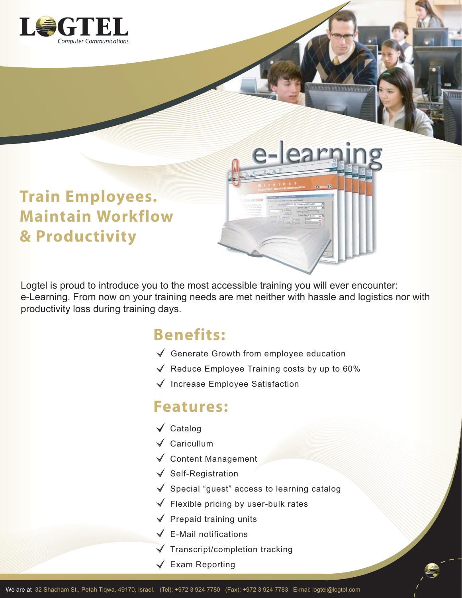

# **Train Employees. Maintain Workflow & Productivity**

Logtel is proud to introduce you to the most accessible training you will ever encounter: e-Learning. From now on your training needs are met neither with hassle and logistics nor with productivity loss during training days.

### **Benefits:**

- Generate Growth from employee education
- $\sqrt{\phantom{a}}$  Reduce Employee Training costs by up to 60%

e-learr

 $\checkmark$  Increase Employee Satisfaction

#### **Features:**

- $\sqrt{\phantom{a}}$  Catalog
- $\sqrt{\phantom{a}}$  Caricullum
- $\checkmark$  Content Management
- $\sqrt{\ }$  Self-Registration
- $\sqrt{\ }$  Special "guest" access to learning catalog
- $\sqrt{\phantom{a}}$  Flexible pricing by user-bulk rates
- $\sqrt{\phantom{a}}$  Prepaid training units
- $\sqrt{\phantom{a}}$  E-Mail notifications
- $\sqrt{\phantom{a}}$  Transcript/completion tracking
- $\sqrt{\phantom{a}}$  Exam Reporting